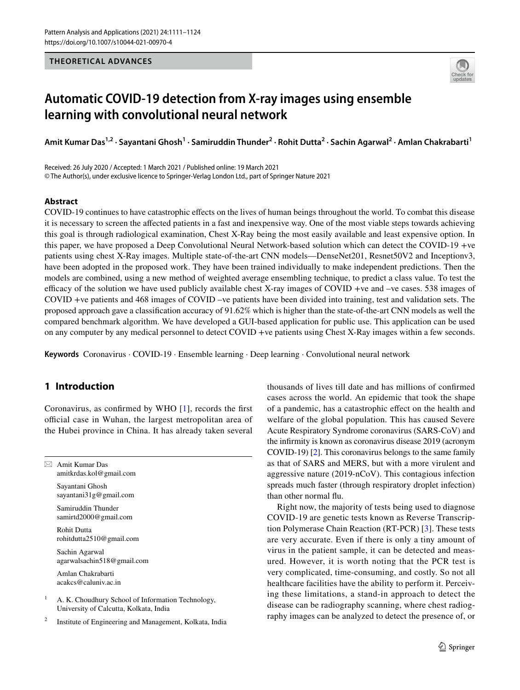## **THEORETICAL ADVANCES**



# **Automatic COVID‑19 detection from X‑ray images using ensemble learning with convolutional neural network**

**Amit Kumar Das1,2 · Sayantani Ghosh<sup>1</sup> · Samiruddin Thunder<sup>2</sup> · Rohit Dutta<sup>2</sup> · Sachin Agarwal<sup>2</sup> · Amlan Chakrabarti<sup>1</sup>**

Received: 26 July 2020 / Accepted: 1 March 2021 / Published online: 19 March 2021 © The Author(s), under exclusive licence to Springer-Verlag London Ltd., part of Springer Nature 2021

## **Abstract**

COVID-19 continues to have catastrophic effects on the lives of human beings throughout the world. To combat this disease it is necessary to screen the affected patients in a fast and inexpensive way. One of the most viable steps towards achieving this goal is through radiological examination, Chest X-Ray being the most easily available and least expensive option. In this paper, we have proposed a Deep Convolutional Neural Network-based solution which can detect the COVID-19 +ve patients using chest X-Ray images. Multiple state-of-the-art CNN models—DenseNet201, Resnet50V2 and Inceptionv3, have been adopted in the proposed work. They have been trained individually to make independent predictions. Then the models are combined, using a new method of weighted average ensembling technique, to predict a class value. To test the efficacy of the solution we have used publicly available chest X-ray images of COVID +ve and –ve cases. 538 images of COVID +ve patients and 468 images of COVID –ve patients have been divided into training, test and validation sets. The proposed approach gave a classification accuracy of 91.62% which is higher than the state-of-the-art CNN models as well the compared benchmark algorithm. We have developed a GUI-based application for public use. This application can be used on any computer by any medical personnel to detect COVID +ve patients using Chest X-Ray images within a few seconds.

**Keywords** Coronavirus · COVID-19 · Ensemble learning · Deep learning · Convolutional neural network

# **1 Introduction**

Coronavirus, as confirmed by WHO [[1](#page-12-0)], records the first official case in Wuhan, the largest metropolitan area of the Hubei province in China. It has already taken several

 $\boxtimes$  Amit Kumar Das amitkrdas.kol@gmail.com

> Sayantani Ghosh sayantani31g@gmail.com

 Samiruddin Thunder samirtd2000@gmail.com

 Rohit Dutta rohitdutta2510@gmail.com

 Sachin Agarwal agarwalsachin518@gmail.com

 Amlan Chakrabarti acakcs@caluniv.ac.in

1 A. K. Choudhury School of Information Technology, University of Calcutta, Kolkata, India

2 Institute of Engineering and Management, Kolkata, India thousands of lives till date and has millions of confirmed cases across the world. An epidemic that took the shape of a pandemic, has a catastrophic effect on the health and welfare of the global population. This has caused Severe Acute Respiratory Syndrome coronavirus (SARS-CoV) and the infirmity is known as coronavirus disease 2019 (acronym COVID-19) [[2\]](#page-12-1). This coronavirus belongs to the same family as that of SARS and MERS, but with a more virulent and aggressive nature (2019-nCoV). This contagious infection spreads much faster (through respiratory droplet infection) than other normal flu.

Right now, the majority of tests being used to diagnose COVID-19 are genetic tests known as Reverse Transcription Polymerase Chain Reaction (RT-PCR) [\[3](#page-12-2)]. These tests are very accurate. Even if there is only a tiny amount of virus in the patient sample, it can be detected and measured. However, it is worth noting that the PCR test is very complicated, time-consuming, and costly. So not all healthcare facilities have the ability to perform it. Perceiving these limitations, a stand-in approach to detect the disease can be radiography scanning, where chest radiography images can be analyzed to detect the presence of, or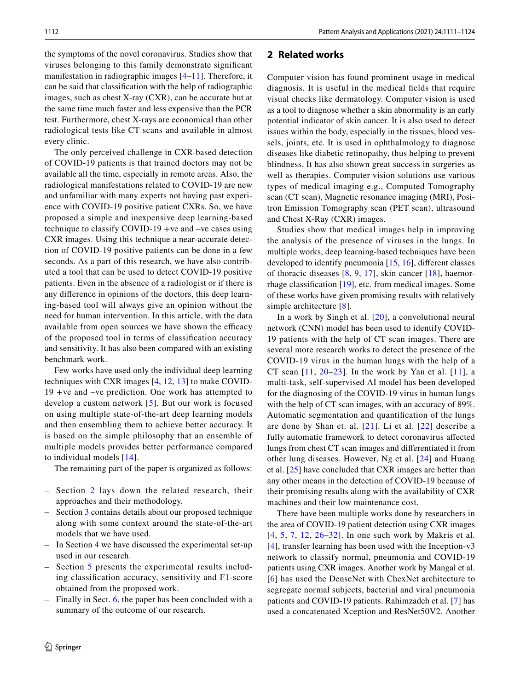the symptoms of the novel coronavirus. Studies show that viruses belonging to this family demonstrate significant manifestation in radiographic images [[4](#page-12-3)[–11\]](#page-13-0). Therefore, it can be said that classification with the help of radiographic images, such as chest X-ray (CXR), can be accurate but at the same time much faster and less expensive than the PCR test. Furthermore, chest X-rays are economical than other radiological tests like CT scans and available in almost every clinic.

The only perceived challenge in CXR-based detection of COVID-19 patients is that trained doctors may not be available all the time, especially in remote areas. Also, the radiological manifestations related to COVID-19 are new and unfamiliar with many experts not having past experience with COVID-19 positive patient CXRs. So, we have proposed a simple and inexpensive deep learning-based technique to classify COVID-19 +ve and –ve cases using CXR images. Using this technique a near-accurate detection of COVID-19 positive patients can be done in a few seconds. As a part of this research, we have also contributed a tool that can be used to detect COVID-19 positive patients. Even in the absence of a radiologist or if there is any difference in opinions of the doctors, this deep learning-based tool will always give an opinion without the need for human intervention. In this article, with the data available from open sources we have shown the efficacy of the proposed tool in terms of classification accuracy and sensitivity. It has also been compared with an existing benchmark work.

Few works have used only the individual deep learning techniques with CXR images [[4](#page-12-3), [12](#page-13-1), [13\]](#page-13-2) to make COVID-19 +ve and –ve prediction. One work has attempted to develop a custom network [[5\]](#page-12-4). But our work is focused on using multiple state-of-the-art deep learning models and then ensembling them to achieve better accuracy. It is based on the simple philosophy that an ensemble of multiple models provides better performance compared to individual models [[14](#page-13-3)].

The remaining part of the paper is organized as follows:

- Section [2](#page-1-0) lays down the related research, their approaches and their methodology.
- Section [3](#page-2-0) contains details about our proposed technique along with some context around the state-of-the-art models that we have used.
- In Section [4](#page-5-0) we have discussed the experimental set-up used in our research.
- Section [5](#page-8-0) presents the experimental results including classification accuracy, sensitivity and F1-score obtained from the proposed work.
- Finally in Sect. [6,](#page-10-0) the paper has been concluded with a summary of the outcome of our research.

## <span id="page-1-0"></span>**2 Related works**

Computer vision has found prominent usage in medical diagnosis. It is useful in the medical fields that require visual checks like dermatology. Computer vision is used as a tool to diagnose whether a skin abnormality is an early potential indicator of skin cancer. It is also used to detect issues within the body, especially in the tissues, blood vessels, joints, etc. It is used in ophthalmology to diagnose diseases like diabetic retinopathy, thus helping to prevent blindness. It has also shown great success in surgeries as well as therapies. Computer vision solutions use various types of medical imaging e.g., Computed Tomography scan (CT scan), Magnetic resonance imaging (MRI), Positron Emission Tomography scan (PET scan), ultrasound and Chest X-Ray (CXR) images.

Studies show that medical images help in improving the analysis of the presence of viruses in the lungs. In multiple works, deep learning-based techniques have been developed to identify pneumonia [\[15,](#page-13-4) [16\]](#page-13-5), different classes of thoracic diseases [\[8](#page-12-5), [9](#page-13-6), [17](#page-13-7)], skin cancer [[18\]](#page-13-8), haemorrhage classification [\[19\]](#page-13-9), etc. from medical images. Some of these works have given promising results with relatively simple architecture [[8](#page-12-5)].

In a work by Singh et al. [[20](#page-13-10)], a convolutional neural network (CNN) model has been used to identify COVID-19 patients with the help of CT scan images. There are several more research works to detect the presence of the COVID-19 virus in the human lungs with the help of a CT scan  $[11, 20-23]$  $[11, 20-23]$  $[11, 20-23]$  $[11, 20-23]$ . In the work by Yan et al.  $[11]$  $[11]$ , a multi-task, self-supervised AI model has been developed for the diagnosing of the COVID-19 virus in human lungs with the help of CT scan images, with an accuracy of 89%. Automatic segmentation and quantification of the lungs are done by Shan et. al. [[21](#page-13-12)]. Li et al. [[22\]](#page-13-13) describe a fully automatic framework to detect coronavirus affected lungs from chest CT scan images and differentiated it from other lung diseases. However, Ng et al. [[24\]](#page-13-14) and Huang et al. [[25](#page-13-15)] have concluded that CXR images are better than any other means in the detection of COVID-19 because of their promising results along with the availability of CXR machines and their low maintenance cost.

There have been multiple works done by researchers in the area of COVID-19 patient detection using CXR images [[4](#page-12-3), [5,](#page-12-4) [7,](#page-12-6) [12,](#page-13-1) [26](#page-13-16)–[32](#page-13-17)]. In one such work by Makris et al. [[4\]](#page-12-3), transfer learning has been used with the Inception-v3 network to classify normal, pneumonia and COVID-19 patients using CXR images. Another work by Mangal et al. [[6\]](#page-12-7) has used the DenseNet with ChexNet architecture to segregate normal subjects, bacterial and viral pneumonia patients and COVID-19 patients. Rahimzadeh et al. [[7](#page-12-6)] has used a concatenated Xception and ResNet50V2. Another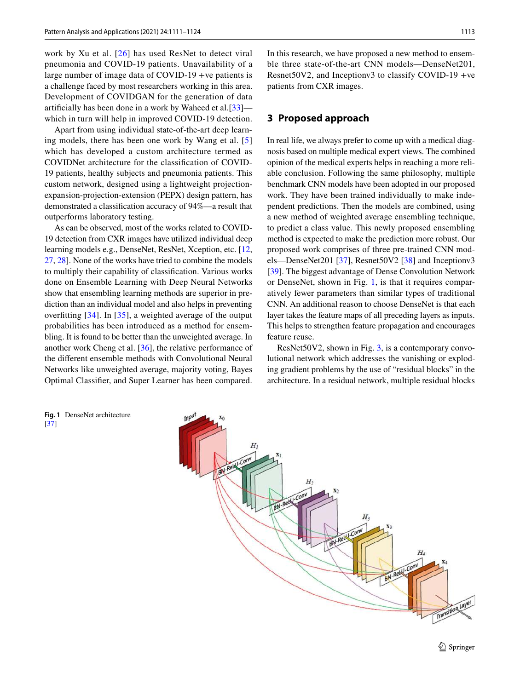work by Xu et al. [[26\]](#page-13-16) has used ResNet to detect viral pneumonia and COVID-19 patients. Unavailability of a large number of image data of COVID-19 +ve patients is a challenge faced by most researchers working in this area. Development of COVIDGAN for the generation of data artificially has been done in a work by Waheed et al.[[33\]](#page-13-18) which in turn will help in improved COVID-19 detection.

Apart from using individual state-of-the-art deep learning models, there has been one work by Wang et al. [[5\]](#page-12-4) which has developed a custom architecture termed as COVIDNet architecture for the classification of COVID-19 patients, healthy subjects and pneumonia patients. This custom network, designed using a lightweight projectionexpansion-projection-extension (PEPX) design pattern, has demonstrated a classification accuracy of 94%—a result that outperforms laboratory testing.

As can be observed, most of the works related to COVID-19 detection from CXR images have utilized individual deep learning models e.g., DenseNet, ResNet, Xception, etc. [[12,](#page-13-1) [27,](#page-13-19) [28\]](#page-13-20). None of the works have tried to combine the models to multiply their capability of classification. Various works done on Ensemble Learning with Deep Neural Networks show that ensembling learning methods are superior in prediction than an individual model and also helps in preventing overfitting  $[34]$  $[34]$  $[34]$ . In  $[35]$ , a weighted average of the output probabilities has been introduced as a method for ensembling. It is found to be better than the unweighted average. In another work Cheng et al. [\[36](#page-13-23)], the relative performance of the different ensemble methods with Convolutional Neural Networks like unweighted average, majority voting, Bayes Optimal Classifier, and Super Learner has been compared.

<span id="page-2-1"></span>**Fig. 1** DenseNet architecture [[37](#page-13-24)]

In this research, we have proposed a new method to ensemble three state-of-the-art CNN models—DenseNet201, Resnet50V2, and Inceptionv3 to classify COVID-19 +ve patients from CXR images.

## <span id="page-2-0"></span>**3 Proposed approach**

In real life, we always prefer to come up with a medical diagnosis based on multiple medical expert views. The combined opinion of the medical experts helps in reaching a more reliable conclusion. Following the same philosophy, multiple benchmark CNN models have been adopted in our proposed work. They have been trained individually to make independent predictions. Then the models are combined, using a new method of weighted average ensembling technique, to predict a class value. This newly proposed ensembling method is expected to make the prediction more robust. Our proposed work comprises of three pre-trained CNN models—DenseNet201 [\[37](#page-13-24)], Resnet50V2 [[38\]](#page-13-25) and Inceptionv3 [\[39\]](#page-13-26). The biggest advantage of Dense Convolution Network or DenseNet, shown in Fig. [1](#page-2-1), is that it requires comparatively fewer parameters than similar types of traditional CNN. An additional reason to choose DenseNet is that each layer takes the feature maps of all preceding layers as inputs. This helps to strengthen feature propagation and encourages feature reuse.

ResNet50V2, shown in Fig. [3,](#page-3-0) is a contemporary convolutional network which addresses the vanishing or exploding gradient problems by the use of "residual blocks" in the architecture. In a residual network, multiple residual blocks

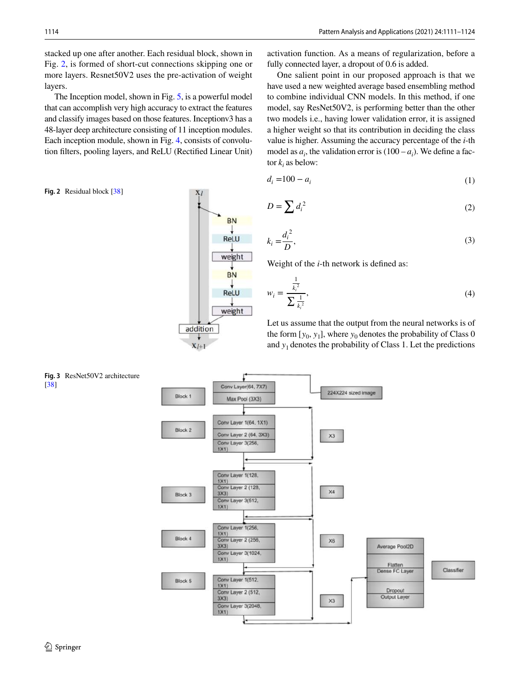stacked up one after another. Each residual block, shown in Fig. [2](#page-3-1), is formed of short-cut connections skipping one or more layers. Resnet50V2 uses the pre-activation of weight layers.

The Inception model, shown in Fig. [5,](#page-4-0) is a powerful model that can accomplish very high accuracy to extract the features and classify images based on those features. Inceptionv3 has a 48-layer deep architecture consisting of 11 inception modules. Each inception module, shown in Fig. [4](#page-4-1), consists of convolution filters, pooling layers, and ReLU (Rectified Linear Unit)

<span id="page-3-1"></span>**Fig. 2** Residual block [[38](#page-13-25)]



One salient point in our proposed approach is that we have used a new weighted average based ensembling method to combine individual CNN models. In this method, if one model, say ResNet50V2, is performing better than the other two models i.e., having lower validation error, it is assigned a higher weight so that its contribution in deciding the class value is higher. Assuming the accuracy percentage of the *i*-th model as  $a_i$ , the validation error is  $(100 - a_i)$ . We define a factor  $k_i$  as below:

$$
d_i = 100 - a_i \tag{1}
$$

$$
D = \sum d_i^2 \tag{2}
$$

$$
k_i = \frac{d_i^2}{D},\tag{3}
$$

Weight of the *i*-th network is defined as:

$$
w_i = \frac{\frac{1}{k_i^2}}{\sum \frac{1}{k_i^2}},\tag{4}
$$



**BN** 

**ReLU** 

weight **BN** 

> Let us assume that the output from the neural networks is of the form  $[y_0, y_1]$ , where  $y_0$  denotes the probability of Class 0 and  $y_1$  denotes the probability of Class 1. Let the predictions

<span id="page-3-0"></span>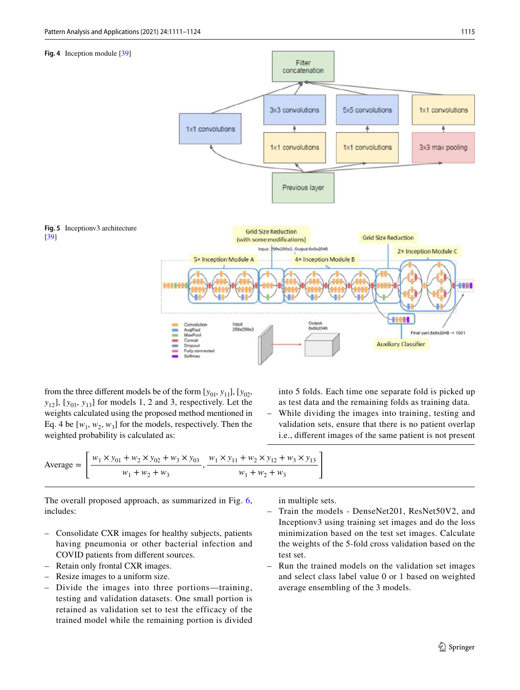#### **Fig. 4** Inception module [\[39\]](#page-13-26)

<span id="page-4-1"></span>

<span id="page-4-0"></span>from the three different models be of the form  $[y_{01}, y_{11}]$ ,  $[y_{02},$  $y_{12}$ ],  $[y_{03}, y_{13}]$  for models 1, 2 and 3, respectively. Let the weights calculated using the proposed method mentioned in Eq. 4 be  $[w_1, w_2, w_3]$  for the models, respectively. Then the weighted probability is calculated as:

into 5 folds. Each time one separate fold is picked up as test data and the remaining folds as training data.

– While dividing the images into training, testing and validation sets, ensure that there is no patient overlap i.e., different images of the same patient is not present

Average = 
$$
\left[ \frac{w_1 \times y_{01} + w_2 \times y_{02} + w_3 \times y_{03}}{w_1 + w_2 + w_3}, \frac{w_1 \times y_{11} + w_2 \times y_{12} + w_3 \times y_{13}}{w_1 + w_2 + w_3} \right]
$$

The overall proposed approach, as summarized in Fig. [6,](#page-5-1) includes:

- Consolidate CXR images for healthy subjects, patients having pneumonia or other bacterial infection and COVID patients from different sources.
- Retain only frontal CXR images.
- Resize images to a uniform size.
- Divide the images into three portions—training, testing and validation datasets. One small portion is retained as validation set to test the efficacy of the trained model while the remaining portion is divided

in multiple sets.

- Train the models DenseNet201, ResNet50V2, and Inceptionv3 using training set images and do the loss minimization based on the test set images. Calculate the weights of the 5-fold cross validation based on the test set.
- Run the trained models on the validation set images and select class label value 0 or 1 based on weighted average ensembling of the 3 models.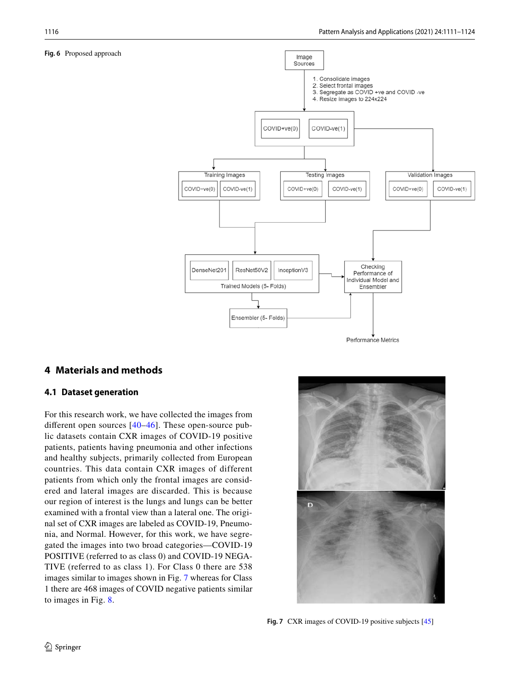#### <span id="page-5-1"></span>**Fig. 6** Proposed approach



# <span id="page-5-0"></span>**4 Materials and methods**

## **4.1 Dataset generation**

For this research work, we have collected the images from different open sources [[40](#page-13-27)[–46\]](#page-13-28). These open-source public datasets contain CXR images of COVID-19 positive patients, patients having pneumonia and other infections and healthy subjects, primarily collected from European countries. This data contain CXR images of different patients from which only the frontal images are considered and lateral images are discarded. This is because our region of interest is the lungs and lungs can be better examined with a frontal view than a lateral one. The original set of CXR images are labeled as COVID-19, Pneumonia, and Normal. However, for this work, we have segregated the images into two broad categories—COVID-19 POSITIVE (referred to as class 0) and COVID-19 NEGA-TIVE (referred to as class 1). For Class 0 there are 538 images similar to images shown in Fig. [7](#page-5-2) whereas for Class 1 there are 468 images of COVID negative patients similar to images in Fig. [8.](#page-6-0)



<span id="page-5-2"></span>**Fig. 7** CXR images of COVID-19 positive subjects [[45](#page-13-29)]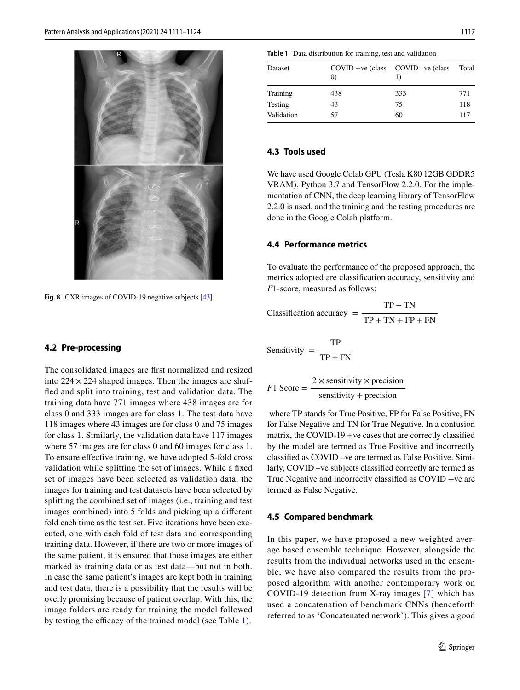

<span id="page-6-0"></span>**Fig. 8** CXR images of COVID-19 negative subjects [\[43\]](#page-13-30)

#### **4.2 Pre-processing**

The consolidated images are first normalized and resized into  $224 \times 224$  shaped images. Then the images are shuffled and split into training, test and validation data. The training data have 771 images where 438 images are for class 0 and 333 images are for class 1. The test data have 118 images where 43 images are for class 0 and 75 images for class 1. Similarly, the validation data have 117 images where 57 images are for class 0 and 60 images for class 1. To ensure effective training, we have adopted 5-fold cross validation while splitting the set of images. While a fixed set of images have been selected as validation data, the images for training and test datasets have been selected by splitting the combined set of images (i.e., training and test images combined) into 5 folds and picking up a different fold each time as the test set. Five iterations have been executed, one with each fold of test data and corresponding training data. However, if there are two or more images of the same patient, it is ensured that those images are either marked as training data or as test data—but not in both. In case the same patient's images are kept both in training and test data, there is a possibility that the results will be overly promising because of patient overlap. With this, the image folders are ready for training the model followed by testing the efficacy of the trained model (see Table [1\)](#page-6-1).

<span id="page-6-1"></span>**Table 1** Data distribution for training, test and validation

| Dataset    | $COVID +ve (class COVID -ve (class$<br>$\left( 0\right)$ |     | Total |
|------------|----------------------------------------------------------|-----|-------|
| Training   | 438                                                      | 333 | 771   |
| Testing    | 43                                                       | 75  | 118   |
| Validation | 57                                                       | 60  | 117   |

### **4.3 Tools used**

We have used Google Colab GPU (Tesla K80 12GB GDDR5 VRAM), Python 3.7 and TensorFlow 2.2.0. For the implementation of CNN, the deep learning library of TensorFlow 2.2.0 is used, and the training and the testing procedures are done in the Google Colab platform.

#### **4.4 Performance metrics**

To evaluate the performance of the proposed approach, the metrics adopted are classification accuracy, sensitivity and *F*1-score, measured as follows:

Classification accuracy = 
$$
\frac{TP + TN}{TP + TN + FP + FN}
$$

$$
Sensitivity = \frac{TP}{TP + FN}
$$

$$
F1 \text{ Score} = \frac{2 \times \text{sensitivity} \times \text{precision}}{\text{sensitivity} + \text{precision}}
$$

 where TP stands for True Positive, FP for False Positive, FN for False Negative and TN for True Negative. In a confusion matrix, the COVID-19 +ve cases that are correctly classified by the model are termed as True Positive and incorrectly classified as COVID –ve are termed as False Positive. Similarly, COVID –ve subjects classified correctly are termed as True Negative and incorrectly classified as COVID +ve are termed as False Negative.

#### **4.5 Compared benchmark**

In this paper, we have proposed a new weighted average based ensemble technique. However, alongside the results from the individual networks used in the ensemble, we have also compared the results from the proposed algorithm with another contemporary work on COVID-19 detection from X-ray images [[7](#page-12-6)] which has used a concatenation of benchmark CNNs (henceforth referred to as 'Concatenated network'). This gives a good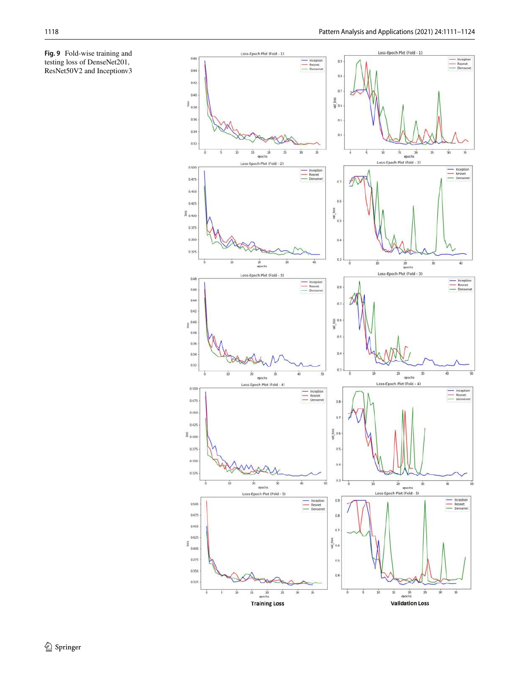<span id="page-7-0"></span>

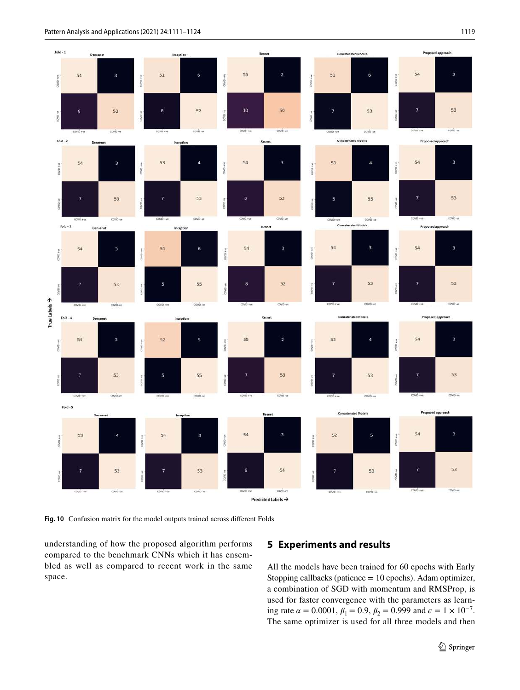

<span id="page-8-1"></span>**Fig. 10** Confusion matrix for the model outputs trained across different Folds

understanding of how the proposed algorithm performs compared to the benchmark CNNs which it has ensembled as well as compared to recent work in the same space.

# <span id="page-8-0"></span>**5 Experiments and results**

All the models have been trained for 60 epochs with Early Stopping callbacks (patience = 10 epochs). Adam optimizer, a combination of SGD with momentum and RMSProp, is used for faster convergence with the parameters as learning rate  $\alpha = 0.0001$ ,  $\beta_1 = 0.9$ ,  $\beta_2 = 0.999$  and  $\epsilon = 1 \times 10^{-7}$ . The same optimizer is used for all three models and then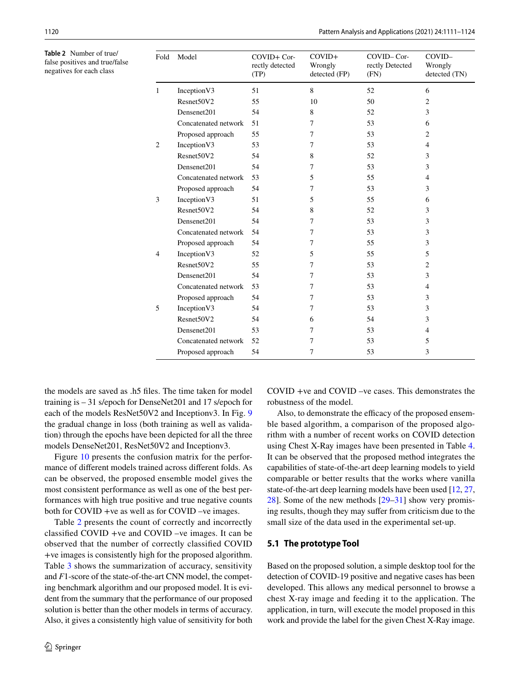<span id="page-9-0"></span>**Table 2** Number of true/ false positives and true/false negatives for each class

| Fold           | Model                | $COVID+Cor-$<br>rectly detected<br>(TP) | $COVID+$<br>Wrongly<br>detected (FP) | COVID-Cor-<br>rectly Detected<br>(FN) | COVID-<br>Wrongly<br>detected (TN) |
|----------------|----------------------|-----------------------------------------|--------------------------------------|---------------------------------------|------------------------------------|
| 1              | Inception V3         | 51                                      | 8                                    | 52                                    | 6                                  |
|                | Resnet50V2           | 55                                      | 10                                   | 50                                    | $\overline{c}$                     |
|                | Densenet201          | 54                                      | 8                                    | 52                                    | 3                                  |
|                | Concatenated network | 51                                      | 7                                    | 53                                    | 6                                  |
|                | Proposed approach    | 55                                      | 7                                    | 53                                    | 2                                  |
| $\overline{2}$ | Inception V3         | 53                                      | 7                                    | 53                                    | 4                                  |
|                | Resnet50V2           | 54                                      | 8                                    | 52                                    | 3                                  |
|                | Densenet201          | 54                                      | 7                                    | 53                                    | 3                                  |
|                | Concatenated network | 53                                      | 5                                    | 55                                    | 4                                  |
|                | Proposed approach    | 54                                      | 7                                    | 53                                    | 3                                  |
| 3              | Inception V3         | 51                                      | 5                                    | 55                                    | 6                                  |
|                | Resnet50V2           | 54                                      | 8                                    | 52                                    | 3                                  |
|                | Densenet201          | 54                                      | 7                                    | 53                                    | 3                                  |
|                | Concatenated network | 54                                      | 7                                    | 53                                    | 3                                  |
|                | Proposed approach    | 54                                      | 7                                    | 55                                    | 3                                  |
| $\overline{4}$ | Inception V3         | 52                                      | 5                                    | 55                                    | 5                                  |
|                | Resnet50V2           | 55                                      | 7                                    | 53                                    | 2                                  |
|                | Densenet201          | 54                                      | 7                                    | 53                                    | 3                                  |
|                | Concatenated network | 53                                      | 7                                    | 53                                    | 4                                  |
|                | Proposed approach    | 54                                      | 7                                    | 53                                    | 3                                  |
| 5              | Inception V3         | 54                                      | 7                                    | 53                                    | 3                                  |
|                | Resnet50V2           | 54                                      | 6                                    | 54                                    | 3                                  |
|                | Densenet201          | 53                                      | 7                                    | 53                                    | 4                                  |
|                | Concatenated network | 52                                      | 7                                    | 53                                    | 5                                  |
|                | Proposed approach    | 54                                      | 7                                    | 53                                    | 3                                  |

the models are saved as .h5 files. The time taken for model training is – 31 s/epoch for DenseNet201 and 17 s/epoch for each of the models ResNet50V2 and Inceptionv3. In Fig. [9](#page-7-0) the gradual change in loss (both training as well as validation) through the epochs have been depicted for all the three models DenseNet201, ResNet50V2 and Inceptionv3.

Figure [10](#page-8-1) presents the confusion matrix for the performance of different models trained across different folds. As can be observed, the proposed ensemble model gives the most consistent performance as well as one of the best performances with high true positive and true negative counts both for COVID +ve as well as for COVID –ve images.

Table [2](#page-9-0) presents the count of correctly and incorrectly classified COVID +ve and COVID –ve images. It can be observed that the number of correctly classified COVID +ve images is consistently high for the proposed algorithm. Table [3](#page-10-1) shows the summarization of accuracy, sensitivity and *F*1-score of the state-of-the-art CNN model, the competing benchmark algorithm and our proposed model. It is evident from the summary that the performance of our proposed solution is better than the other models in terms of accuracy. Also, it gives a consistently high value of sensitivity for both COVID +ve and COVID –ve cases. This demonstrates the robustness of the model.

Also, to demonstrate the efficacy of the proposed ensemble based algorithm, a comparison of the proposed algorithm with a number of recent works on COVID detection using Chest X-Ray images have been presented in Table [4.](#page-11-0) It can be observed that the proposed method integrates the capabilities of state-of-the-art deep learning models to yield comparable or better results that the works where vanilla state-of-the-art deep learning models have been used [\[12](#page-13-1), [27,](#page-13-19) [28](#page-13-20)]. Some of the new methods [[29](#page-13-31)[–31](#page-13-32)] show very promising results, though they may suffer from criticism due to the small size of the data used in the experimental set-up.

## **5.1 The prototype Tool**

Based on the proposed solution, a simple desktop tool for the detection of COVID-19 positive and negative cases has been developed. This allows any medical personnel to browse a chest X-ray image and feeding it to the application. The application, in turn, will execute the model proposed in this work and provide the label for the given Chest X-Ray image.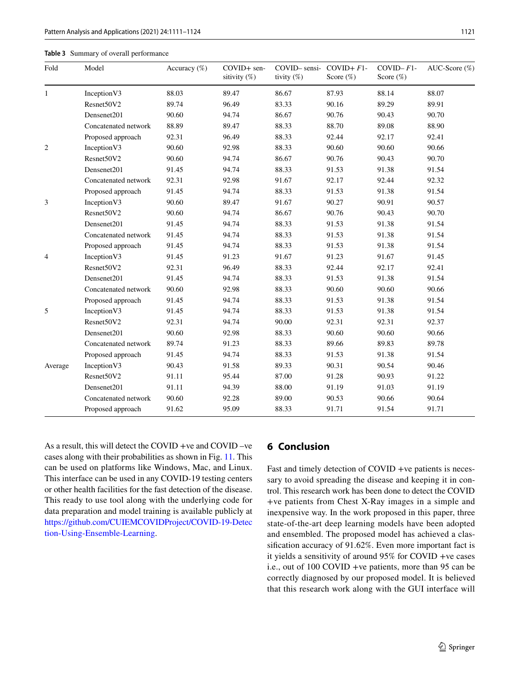#### <span id="page-10-1"></span>**Table 3** Summary of overall performance

| Fold           | Model                | Accuracy (%) | COVID+ sen-<br>sitivity $(\%)$ | $COVID-$ sensi-<br>tivity (%) | $COVID + F1$ -<br>Score $(\%)$ | $COVID - F1 -$<br>Score $(\%)$ | AUC-Score (%) |
|----------------|----------------------|--------------|--------------------------------|-------------------------------|--------------------------------|--------------------------------|---------------|
| 1              | Inception V3         | 88.03        | 89.47                          | 86.67                         | 87.93                          | 88.14                          | 88.07         |
|                | Resnet50V2           | 89.74        | 96.49                          | 83.33                         | 90.16                          | 89.29                          | 89.91         |
|                | Densenet201          | 90.60        | 94.74                          | 86.67                         | 90.76                          | 90.43                          | 90.70         |
|                | Concatenated network | 88.89        | 89.47                          | 88.33                         | 88.70                          | 89.08                          | 88.90         |
|                | Proposed approach    | 92.31        | 96.49                          | 88.33                         | 92.44                          | 92.17                          | 92.41         |
| $\overline{c}$ | Inception V3         | 90.60        | 92.98                          | 88.33                         | 90.60                          | 90.60                          | 90.66         |
|                | Resnet50V2           | 90.60        | 94.74                          | 86.67                         | 90.76                          | 90.43                          | 90.70         |
|                | Densenet201          | 91.45        | 94.74                          | 88.33                         | 91.53                          | 91.38                          | 91.54         |
|                | Concatenated network | 92.31        | 92.98                          | 91.67                         | 92.17                          | 92.44                          | 92.32         |
|                | Proposed approach    | 91.45        | 94.74                          | 88.33                         | 91.53                          | 91.38                          | 91.54         |
| 3              | Inception V3         | 90.60        | 89.47                          | 91.67                         | 90.27                          | 90.91                          | 90.57         |
|                | Resnet50V2           | 90.60        | 94.74                          | 86.67                         | 90.76                          | 90.43                          | 90.70         |
|                | Densenet201          | 91.45        | 94.74                          | 88.33                         | 91.53                          | 91.38                          | 91.54         |
|                | Concatenated network | 91.45        | 94.74                          | 88.33                         | 91.53                          | 91.38                          | 91.54         |
|                | Proposed approach    | 91.45        | 94.74                          | 88.33                         | 91.53                          | 91.38                          | 91.54         |
| $\overline{4}$ | Inception V3         | 91.45        | 91.23                          | 91.67                         | 91.23                          | 91.67                          | 91.45         |
|                | Resnet50V2           | 92.31        | 96.49                          | 88.33                         | 92.44                          | 92.17                          | 92.41         |
|                | Densenet201          | 91.45        | 94.74                          | 88.33                         | 91.53                          | 91.38                          | 91.54         |
|                | Concatenated network | 90.60        | 92.98                          | 88.33                         | 90.60                          | 90.60                          | 90.66         |
|                | Proposed approach    | 91.45        | 94.74                          | 88.33                         | 91.53                          | 91.38                          | 91.54         |
| 5              | Inception V3         | 91.45        | 94.74                          | 88.33                         | 91.53                          | 91.38                          | 91.54         |
|                | Resnet50V2           | 92.31        | 94.74                          | 90.00                         | 92.31                          | 92.31                          | 92.37         |
|                | Densenet201          | 90.60        | 92.98                          | 88.33                         | 90.60                          | 90.60                          | 90.66         |
|                | Concatenated network | 89.74        | 91.23                          | 88.33                         | 89.66                          | 89.83                          | 89.78         |
|                | Proposed approach    | 91.45        | 94.74                          | 88.33                         | 91.53                          | 91.38                          | 91.54         |
| Average        | Inception V3         | 90.43        | 91.58                          | 89.33                         | 90.31                          | 90.54                          | 90.46         |
|                | Resnet50V2           | 91.11        | 95.44                          | 87.00                         | 91.28                          | 90.93                          | 91.22         |
|                | Densenet201          | 91.11        | 94.39                          | 88.00                         | 91.19                          | 91.03                          | 91.19         |
|                | Concatenated network | 90.60        | 92.28                          | 89.00                         | 90.53                          | 90.66                          | 90.64         |
|                | Proposed approach    | 91.62        | 95.09                          | 88.33                         | 91.71                          | 91.54                          | 91.71         |

As a result, this will detect the COVID +ve and COVID –ve cases along with their probabilities as shown in Fig. [11.](#page-12-8) This can be used on platforms like Windows, Mac, and Linux. This interface can be used in any COVID-19 testing centers or other health facilities for the fast detection of the disease. This ready to use tool along with the underlying code for data preparation and model training is available publicly at https://github.com/CUIEMCOVIDProject/COVID-19-Detec tion-Using-Ensemble-Learning.

## <span id="page-10-0"></span>**6 Conclusion**

Fast and timely detection of COVID +ve patients is necessary to avoid spreading the disease and keeping it in control. This research work has been done to detect the COVID +ve patients from Chest X-Ray images in a simple and inexpensive way. In the work proposed in this paper, three state-of-the-art deep learning models have been adopted and ensembled. The proposed model has achieved a classification accuracy of 91.62%. Even more important fact is it yields a sensitivity of around 95% for COVID +ve cases i.e., out of 100 COVID +ve patients, more than 95 can be correctly diagnosed by our proposed model. It is believed that this research work along with the GUI interface will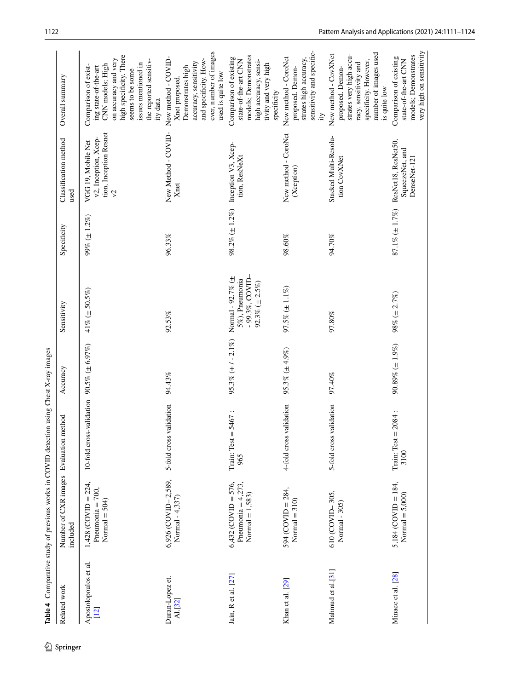<span id="page-11-0"></span>

|                                 | Table 4 Comparative study of previous works in COVID detection using Chest X-ray images |                                   |                       |                                                                               |                      |                                                                                    |                                                                                                                                                                                                      |
|---------------------------------|-----------------------------------------------------------------------------------------|-----------------------------------|-----------------------|-------------------------------------------------------------------------------|----------------------|------------------------------------------------------------------------------------|------------------------------------------------------------------------------------------------------------------------------------------------------------------------------------------------------|
| Related work                    | Number of CXR images Evaluation<br>included                                             | method                            | Accuracy              | Sensitivity                                                                   | Specificity          | Classification method<br>used                                                      | Overall summary                                                                                                                                                                                      |
| Apostolopoulos et al.<br>$[12]$ | $1,428$ (COVID = 224,<br>Pneumonia = $700$ ,<br>Normal $=$ 504)                         | 10-fold cross-validation          | $90.5\% (\pm 6.97\%)$ | 41% ( $\pm$ 50.5%)                                                            | $99\% (\pm 1.2\%)$   | tion, Inception Resnet<br>v2, Inception, Xcep-<br>VGG 19, Mobile Net<br>$\sqrt{2}$ | high specificity. There<br>on accuracy and very<br>the reported sensitiv-<br>issues mentioned in<br>CNN models; High<br>Comparison of exist-<br>ing state-of-the-art<br>seems to be some<br>ity data |
| Duran-Lopez et.<br>Al.[32]      | 6,926 (COVID-2,589,<br>Normal - 4,337)                                                  | 5-fold cross validation           | 94.43%                | 92.53%                                                                        | 96.33%               | New Method - COVID-<br>Xnet                                                        | ever, number of images<br>New method - COVID-<br>and specificity. How-<br>accuracy, sensitivity<br>Demonstrates high<br>used is quite low<br>Xnet proposed.                                          |
| Jain, R et al. [27]             | $6,432$ (COVID = 576,<br>Pneumonia = $4,273$ ,<br>Normal $= 1,583$                      | $= 5467$ :<br>Train: Test<br>965  | $95.3\% (+1 - 2.1\%)$ | - 99.3%, COVID-<br>Normal - 92.7% (±<br>5%), Pneumonia<br>92.3% $(\pm 2.5\%)$ |                      | 98.2% ( $\pm$ 1.2%) Inception V3, Xcep-<br>tion, ResNeXt                           | models; Demonstrates<br>Comparison of existing<br>state-of-the-art CNN<br>high accuracy, sensi-<br>tivity and very high<br>specificity                                                               |
| Khan et al. [29]                | $594 (COVID = 284,$<br>$Normal = 310$                                                   | 4-fold cross validation           | 95.3% $(\pm 4.9\%)$   | 97.5% $(\pm 1.1\%)$                                                           | 98.60%               | New method - CoroNet<br>(Xception)                                                 | sensitivity and specific-<br>New method - CoroNet<br>strates high accuracy,<br>proposed. Demon-<br>ķ,                                                                                                |
| Mahmud et al.[31]               | 610 (COVID-305,<br>Normal - 305)                                                        | 5-fold cross validation           | 97.40%                | 97.80%                                                                        | 94.70%               | Stacked Multi-Resolu-<br>tion CovXNet                                              | number of images used<br>New method - CovXNet<br>strates very high accu-<br>specificity. However,<br>racy, sensitivity and<br>proposed. Demon-<br>is quite low                                       |
| Minaee et al. [28]              | $5,184$ (COVID = 184,<br>Normal $= 5,000$ )                                             | $= 2084$ :<br>Train: Test<br>3100 | $90.89\% (\pm 1.9\%)$ | 98% (± 2.7%)                                                                  | $87.1\% (\pm 1.7\%)$ | ResNet18, ResNet50,<br>SqueezeNet, and<br>DenseNet-121                             | very high on sensitivity<br>models; Demonstrates<br>Comparison of existing<br>state-of-the-art CNN                                                                                                   |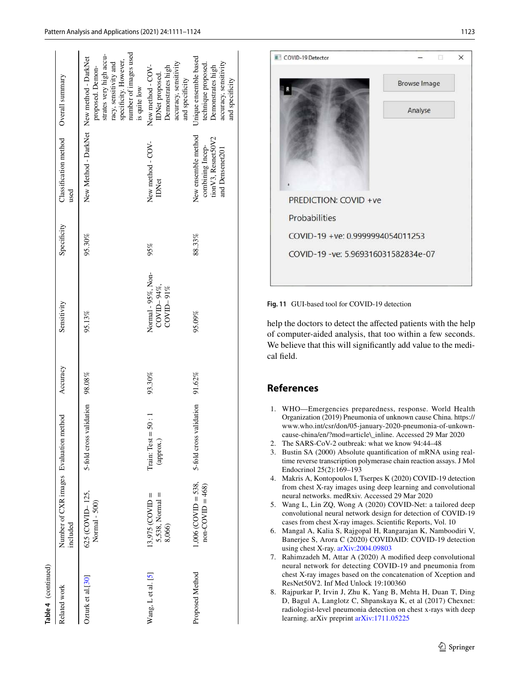| Table 4 (continued) |                                                    |                                     |           |                                                    |             |                                                                                   |                                                                                                                                        |
|---------------------|----------------------------------------------------|-------------------------------------|-----------|----------------------------------------------------|-------------|-----------------------------------------------------------------------------------|----------------------------------------------------------------------------------------------------------------------------------------|
| Related work        | Number of CXR images Evaluation method<br>included |                                     | Accuracy  | Sensitivity                                        | Specificity | Classification method<br>used                                                     | Overall summary                                                                                                                        |
| Ozturk et al.[30]   | 625 (COVID-125,<br>Normal - 500)                   | 5-fold cross validation 98.08%      |           | 95.13%                                             | 95.30%      | New Method - DarkNet New method - DarkNet                                         | number of images used<br>strates very high accu-<br>specificity. However,<br>racy, sensitivity and<br>proposed. Demon-<br>is quite low |
| Wang, Let al. [5]   | $5,538$ , Normal =<br>$13,975$ (COVID =<br>8,066)  | $= 50:1$<br>Train: Test<br>(approx. | $93.30\%$ | Normal - 95%, Non-<br>$CovID-94\%,$<br>$COVID-91%$ | 95%         | New method - COV-<br><b>IDNet</b>                                                 | accuracy, sensitivity<br>Demonstrates high<br>New method - COV-<br>IDNet proposed.<br>and specificity                                  |
| Proposed Method     | $1,006$ (COVID = 538,<br>$non-COVID = 468)$        | 5-fold cross validation             | 91.62%    | 95.09%                                             | 88.33%      | New ensemble method<br>tion V3, Resnet50V2<br>combining Incep-<br>and Densenet201 | Unique ensemble based<br>accuracy, sensitivity<br>technique proposed.<br>Demonstrates high<br>and specificity                          |



**Fig. 11** GUI-based tool for COVID-19 detection

<span id="page-12-8"></span>help the doctors to detect the affected patients with the help of computer-aided analysis, that too within a few seconds. We believe that this will significantly add value to the medical field.

# **References**

- <span id="page-12-0"></span> 1. WHO—Emergencies preparedness, response. World Health Organization (2019) Pneumonia of unknown cause China. https:// www.who.int/csr/don/05-january-2020-pneumonia-of-unkowncause-china/en/?mod=article\\_inline. Accessed 29 Mar 2020
- <span id="page-12-1"></span>2. The SARS-CoV-2 outbreak: what we know 94:44–48

<span id="page-12-2"></span> 3. Bustin SA (2000) Absolute quantification of mRNA using realtime reverse transcription polymerase chain reaction assays. J Mol Endocrinol 25(2):169–193

<span id="page-12-3"></span> 4. Makris A, Kontopoulos I, Tserpes K (2020) COVID-19 detection from chest X-ray images using deep learning and convolutional neural networks. medRxiv. Accessed 29 Mar 2020

<span id="page-12-4"></span> 5. Wang L, Lin ZQ, Wong A (2020) COVID-Net: a tailored deep convolutional neural network design for detection of COVID-19 cases from chest X-ray images. Scientific Reports, Vol. 10

<span id="page-12-7"></span> 6. Mangal A, Kalia S, Rajgopal H, Rangarajan K, Namboodiri V, Banerjee S, Arora C (2020) COVIDAID: COVID-19 detection using chest X-ray. arXiv: 2004.09803

<span id="page-12-6"></span> 7. Rahimzadeh M, Attar A (2020) A modified deep convolutional neural network for detecting COVID-19 and pneumonia from chest X-ray images based on the concatenation of Xception and ResNet50V2. Inf Med Unlock 19:100360

<span id="page-12-5"></span> 8. Rajpurkar P, Irvin J, Zhu K, Yang B, Mehta H, Duan T, Ding D, Bagul A, Langlotz C, Shpanskaya K, et al (2017) Chexnet: radiologist-level pneumonia detection on chest x-rays with deep learning. arXiv preprint arXiv: 1711.05225